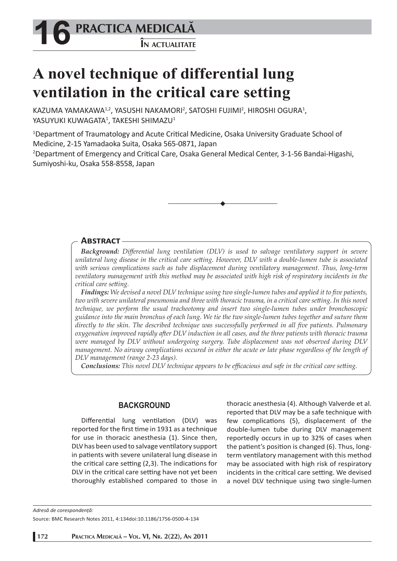

# **A novel technique of differential lung ventilation in the critical care setting**

KAZUMA YAMAKAWA $^{1,2}$ , YASUSHI NAKAMORI $^2$ , SATOSHI FUJIMI $^2$ , HIROSHI OGURA $^1$ , YASUYUKI KUWAGATA $^1$ , TAKESHI SHIMAZU $^1$ 

<sup>1</sup>Department of Traumatology and Acute Critical Medicine, Osaka University Graduate School of Medicine, 2-15 Yamadaoka Suita, Osaka 565-0871, Japan

<sup>2</sup>Department of Emergency and Critical Care, Osaka General Medical Center, 3-1-56 Bandai-Higashi, Sumiyoshi-ku, Osaka 558-8558, Japan

## **ABSTRACT**

*Background: Diff erential lung ventilation (DLV) is used to salvage ventilatory support in severe unilateral lung disease in the critical care setting. However, DLV with a double-lumen tube is associated with serious complications such as tube displacement during ventilatory management. Thus, long-term ventilatory management with this method may be associated with high risk of respiratory incidents in the critical care sett ing.*

*Findings: We devised a novel DLV technique using two single-lumen tubes and applied it to five patients, two with severe unilateral pneumonia and three with thoracic trauma, in a critical care sett ing. In this novel technique, we perform the usual tracheotomy and insert two single-lumen tubes under bronchoscopic guidance into the main bronchus of each lung. We tie the two single-lumen tubes together and suture them*  directly to the skin. The described technique was successfully performed in all five patients. Pulmonary *oxygenation improved rapidly aft er DLV induction in all cases, and the three patients with thoracic trauma were managed by DLV without undergoing surgery. Tube displacement was not observed during DLV management. No airway complications occured in either the acute or late phase regardless of the length of DLV management (range 2-23 days).*

*Conclusions: This novel DLV technique appears to be efficacious and safe in the critical care setting.* 

## **BACKGROUND**

Differential lung ventilation (DLV) was reported for the first time in 1931 as a technique for use in thoracic anesthesia (1). Since then, DLV has been used to salvage ventilatory support in patients with severe unilateral lung disease in the critical care setting  $(2,3)$ . The indications for DLV in the critical care setting have not yet been thoroughly established compared to those in

thoracic anesthesia (4). Although Valverde et al. reported that DLV may be a safe technique with few complications  $(5)$ , displacement of the double-lumen tube during DLV management reportedly occurs in up to 32% of cases when the patient's position is changed (6). Thus, longterm ventilatory management with this method may be associated with high risk of respiratory incidents in the critical care setting. We devised a novel DLV technique using two single-lumen

*Adresă de corespondenţă:*  Source: BMC Research Notes 2011, 4:134doi:10.1186/1756-0500-4-134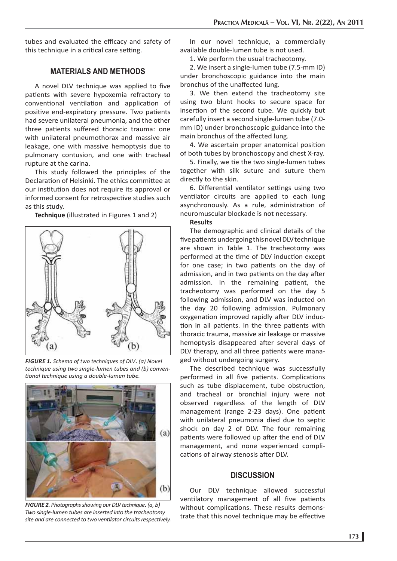tubes and evaluated the efficacy and safety of this technique in a critical care setting.

# **MATERIALS AND METHODS**

A novel DLV technique was applied to five patients with severe hypoxemia refractory to conventional ventilation and application of positive end-expiratory pressure. Two patients had severe unilateral pneumonia, and the other three patients suffered thoracic trauma: one with unilateral pneumothorax and massive air leakage, one with massive hemoptysis due to pulmonary contusion, and one with tracheal rupture at the carina.

This study followed the principles of the Declaration of Helsinki. The ethics committee at our institution does not require its approval or informed consent for retrospective studies such as this study.

**Technique** (illustrated in Figures 1 and 2)



*FIGURE 1. Schema of two techniques of DLV***.** *(a) Novel technique using two single-lumen tubes and (b) conventi onal technique using a double-lumen tube.*



*FIGURE 2. Photographs showing our DLV technique***.** *(a, b) Two single-lumen tubes are inserted into the tracheotomy site and are connected to two ventilator circuits respectively.* 

In our novel technique, a commercially available double-lumen tube is not used.

1. We perform the usual tracheotomy.

2. We insert a single-lumen tube (7.5-mm ID) under bronchoscopic guidance into the main bronchus of the unaffected lung.

3. We then extend the tracheotomy site using two blunt hooks to secure space for insertion of the second tube. We quickly but carefully insert a second single-lumen tube (7.0 mm ID) under bronchoscopic guidance into the main bronchus of the affected lung.

4. We ascertain proper anatomical position of both tubes by bronchoscopy and chest X-ray.

5. Finally, we tie the two single-lumen tubes together with silk suture and suture them directly to the skin.

6. Differential ventilator settings using two ventilator circuits are applied to each lung asynchronously. As a rule, administration of neuromuscular blockade is not necessary.

#### **Results**

The demographic and clinical details of the five patients undergoing this novel DLV technique are shown in Table 1. The tracheotomy was performed at the time of DLV induction except for one case; in two patients on the day of admission, and in two patients on the day after admission. In the remaining patient, the tracheotomy was performed on the day 5 following admission, and DLV was inducted on the day 20 following admission. Pulmonary oxygenation improved rapidly after DLV induction in all patients. In the three patients with thoracic trauma, massive air leakage or massive hemoptysis disappeared after several days of DLV therapy, and all three patients were managed without undergoing surgery.

The described technique was successfully performed in all five patients. Complications such as tube displacement, tube obstruction, and tracheal or bronchial injury were not observed regardless of the length of DLV management (range 2-23 days). One patient with unilateral pneumonia died due to septic shock on day 2 of DLV. The four remaining patients were followed up after the end of DLV management, and none experienced complications of airway stenosis after DLV.

# **DISCUSSION**

Our DLV technique allowed successful ventilatory management of all five patients without complications. These results demonstrate that this novel technique may be effective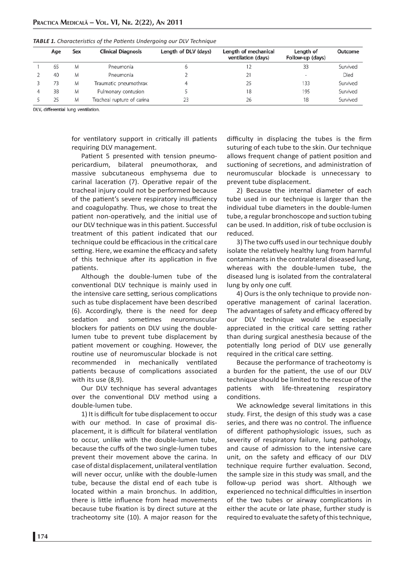| Age | Sex | <b>Clinical Diagnosis</b>  | Length of DLV (days) | Length of mechanical<br>ventilation (days) | Length of<br>Follow-up (days) | Outcome  |
|-----|-----|----------------------------|----------------------|--------------------------------------------|-------------------------------|----------|
| 65  | M   | Pneumonia                  |                      |                                            | 33                            | Survived |
| 40  | M   | Pneumonia                  |                      |                                            |                               | Died     |
|     | Μ   | Traumatic pneumothrax      | 4                    | 25                                         | 133                           | Survived |
| 38  | M   | Pulmonary contusion        |                      | 18                                         | 195                           | Survived |
|     | Μ   | Tracheal rupture of carina | 23                   | 26                                         | 18                            | Survived |

DLV, differential lung ventilation.

for ventilatory support in critically ill patients requiring DLV management.

Patient 5 presented with tension pneumopericardium, bilateral pneumothorax, and massive subcutaneous emphysema due to carinal laceration (7). Operative repair of the tracheal injury could not be performed because of the patient's severe respiratory insufficiency and coagulopathy. Thus, we chose to treat the patient non-operatively, and the initial use of our DLV technique was in this patient. Successful treatment of this patient indicated that our technique could be efficacious in the critical care setting. Here, we examine the efficacy and safety of this technique after its application in five patients.

Although the double-lumen tube of the conventional DLV technique is mainly used in the intensive care setting, serious complications such as tube displacement have been described (6). Accordingly, there is the need for deep sedation and sometimes neuromuscular blockers for patients on DLV using the doublelumen tube to prevent tube displacement by patient movement or coughing. However, the routine use of neuromuscular blockade is not recommended in mechanically ventilated patients because of complications associated with its use (8,9).

Our DLV technique has several advantages over the conventional DLV method using a double-lumen tube.

1) It is difficult for tube displacement to occur with our method. In case of proximal displacement, it is difficult for bilateral ventilation to occur, unlike with the double-lumen tube, because the cuffs of the two single-lumen tubes prevent their movement above the carina. In case of distal displacement, unilateral ventilation will never occur, unlike with the double-lumen tube, because the distal end of each tube is located within a main bronchus. In addition, there is little influence from head movements because tube fixation is by direct suture at the tracheotomy site (10). A major reason for the difficulty in displacing the tubes is the firm suturing of each tube to the skin. Our technique allows frequent change of patient position and suctioning of secretions, and administration of neuromuscular blockade is unnecessary to prevent tube displacement.

2) Because the internal diameter of each tube used in our technique is larger than the individual tube diameters in the double-lumen tube, a regular bronchoscope and suction tubing can be used. In addition, risk of tube occlusion is reduced.

3) The two cuffs used in our technique doubly isolate the relatively healthy lung from harmful contaminants in the contralateral diseased lung, whereas with the double-lumen tube, the diseased lung is isolated from the contralateral lung by only one cuff.

4) Ours is the only technique to provide nonoperative management of carinal laceration. The advantages of safety and efficacy offered by our DLV technique would be especially appreciated in the critical care setting rather than during surgical anesthesia because of the potentially long period of DLV use generally required in the critical care setting.

Because the performance of tracheotomy is a burden for the patient, the use of our DLV technique should be limited to the rescue of the patients with life-threatening respiratory conditions.

We acknowledge several limitations in this study. First, the design of this study was a case series, and there was no control. The influence of different pathophysiologic issues, such as severity of respiratory failure, lung pathology, and cause of admission to the intensive care unit, on the safety and efficacy of our DLV technique require further evaluation. Second, the sample size in this study was small, and the follow-up period was short. Although we experienced no technical difficulties in insertion of the two tubes or airway complications in either the acute or late phase, further study is required to evaluate the safety of this technique,